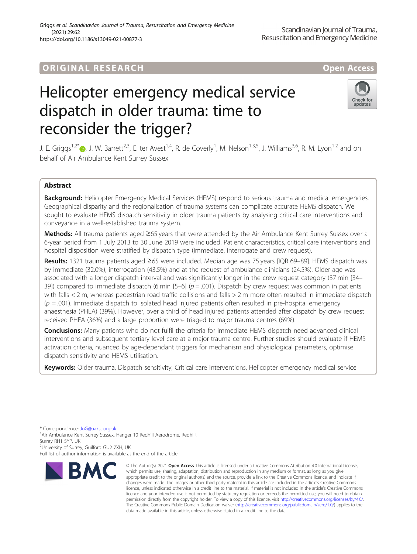## ORIGINA L R E S EA RCH Open Access

# Helicopter emergency medical service dispatch in older trauma: time to reconsider the trigger?



J. E. Griggs<sup>1,2[\\*](http://orcid.org/0000-0003-3810-4342)</sup>®, J. W. Barrett<sup>2,3</sup>, E. ter Avest<sup>1,4</sup>, R. de Coverly<sup>1</sup>, M. Nelson<sup>1,3,5</sup>, J. Williams<sup>3,6</sup>, R. M. Lyon<sup>1,2</sup> and on behalf of Air Ambulance Kent Surrey Sussex

### Abstract

Background: Helicopter Emergency Medical Services (HEMS) respond to serious trauma and medical emergencies. Geographical disparity and the regionalisation of trauma systems can complicate accurate HEMS dispatch. We sought to evaluate HEMS dispatch sensitivity in older trauma patients by analysing critical care interventions and conveyance in a well-established trauma system.

Methods: All trauma patients aged ≥65 years that were attended by the Air Ambulance Kent Surrey Sussex over a 6-year period from 1 July 2013 to 30 June 2019 were included. Patient characteristics, critical care interventions and hospital disposition were stratified by dispatch type (immediate, interrogate and crew request).

Results: 1321 trauma patients aged ≥65 were included. Median age was 75 years [IQR 69–89]. HEMS dispatch was by immediate (32.0%), interrogation (43.5%) and at the request of ambulance clinicians (24.5%). Older age was associated with a longer dispatch interval and was significantly longer in the crew request category (37 min [34– 39]) compared to immediate dispatch (6 min [5–6] ( $p = .001$ ). Dispatch by crew request was common in patients with falls < 2 m, whereas pedestrian road traffic collisions and falls > 2 m more often resulted in immediate dispatch  $(p = .001)$ . Immediate dispatch to isolated head injured patients often resulted in pre-hospital emergency anaesthesia (PHEA) (39%). However, over a third of head injured patients attended after dispatch by crew request received PHEA (36%) and a large proportion were triaged to major trauma centres (69%).

**Conclusions:** Many patients who do not fulfil the criteria for immediate HEMS dispatch need advanced clinical interventions and subsequent tertiary level care at a major trauma centre. Further studies should evaluate if HEMS activation criteria, nuanced by age-dependant triggers for mechanism and physiological parameters, optimise dispatch sensitivity and HEMS utilisation.

Keywords: Older trauma, Dispatch sensitivity, Critical care interventions, Helicopter emergency medical service

<sup>2</sup>University of Surrey, Guilford GU2 7XH, UK

Full list of author information is available at the end of the article



<sup>©</sup> The Author(s), 2021 **Open Access** This article is licensed under a Creative Commons Attribution 4.0 International License, which permits use, sharing, adaptation, distribution and reproduction in any medium or format, as long as you give appropriate credit to the original author(s) and the source, provide a link to the Creative Commons licence, and indicate if changes were made. The images or other third party material in this article are included in the article's Creative Commons licence, unless indicated otherwise in a credit line to the material. If material is not included in the article's Creative Commons licence and your intended use is not permitted by statutory regulation or exceeds the permitted use, you will need to obtain permission directly from the copyright holder. To view a copy of this licence, visit [http://creativecommons.org/licenses/by/4.0/.](http://creativecommons.org/licenses/by/4.0/) The Creative Commons Public Domain Dedication waiver [\(http://creativecommons.org/publicdomain/zero/1.0/](http://creativecommons.org/publicdomain/zero/1.0/)) applies to the data made available in this article, unless otherwise stated in a credit line to the data.

<sup>\*</sup> Correspondence: [JoG@aakss.org.uk](mailto:JoG@aakss.org.uk) <sup>1</sup>

<sup>&</sup>lt;sup>1</sup> Air Ambulance Kent Surrey Sussex, Hanger 10 Redhill Aerodrome, Redhill, Surrey RH1 5YP, UK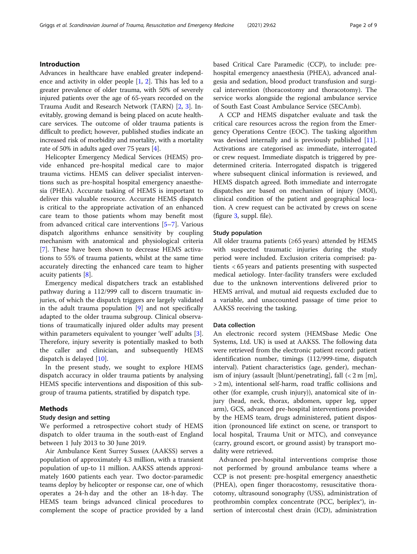#### Introduction

Advances in healthcare have enabled greater independence and activity in older people  $[1, 2]$  $[1, 2]$  $[1, 2]$  $[1, 2]$ . This has led to a greater prevalence of older trauma, with 50% of severely injured patients over the age of 65-years recorded on the Trauma Audit and Research Network (TARN) [\[2](#page-7-0), [3\]](#page-7-0). Inevitably, growing demand is being placed on acute healthcare services. The outcome of older trauma patients is difficult to predict; however, published studies indicate an increased risk of morbidity and mortality, with a mortality rate of 50% in adults aged over 75 years [[4](#page-7-0)].

Helicopter Emergency Medical Services (HEMS) provide enhanced pre-hospital medical care to major trauma victims. HEMS can deliver specialist interventions such as pre-hospital hospital emergency anaesthesia (PHEA). Accurate tasking of HEMS is important to deliver this valuable resource. Accurate HEMS dispatch is critical to the appropriate activation of an enhanced care team to those patients whom may benefit most from advanced critical care interventions [\[5](#page-7-0)–[7\]](#page-7-0). Various dispatch algorithms enhance sensitivity by coupling mechanism with anatomical and physiological criteria [[7\]](#page-7-0). These have been shown to decrease HEMS activations to 55% of trauma patients, whilst at the same time accurately directing the enhanced care team to higher acuity patients [\[8\]](#page-7-0).

Emergency medical dispatchers track an established pathway during a 112/999 call to discern traumatic injuries, of which the dispatch triggers are largely validated in the adult trauma population [\[9](#page-7-0)] and not specifically adapted to the older trauma subgroup. Clinical observations of traumatically injured older adults may present within parameters equivalent to younger 'well' adults [\[3](#page-7-0)]. Therefore, injury severity is potentially masked to both the caller and clinician, and subsequently HEMS dispatch is delayed [[10](#page-7-0)].

In the present study, we sought to explore HEMS dispatch accuracy in older trauma patients by analysing HEMS specific interventions and disposition of this subgroup of trauma patients, stratified by dispatch type.

#### Methods

#### Study design and setting

We performed a retrospective cohort study of HEMS dispatch to older trauma in the south-east of England between 1 July 2013 to 30 June 2019.

Air Ambulance Kent Surrey Sussex (AAKSS) serves a population of approximately 4.3 million, with a transient population of up-to 11 million. AAKSS attends approximately 1600 patients each year. Two doctor-paramedic teams deploy by helicopter or response car, one of which operates a 24-h day and the other an 18-h day. The HEMS team brings advanced clinical procedures to complement the scope of practice provided by a land based Critical Care Paramedic (CCP), to include: prehospital emergency anaesthesia (PHEA), advanced analgesia and sedation, blood product transfusion and surgical intervention (thoracostomy and thoracotomy). The service works alongside the regional ambulance service of South East Coast Ambulance Service (SECAmb).

A CCP and HEMS dispatcher evaluate and task the critical care resources across the region from the Emergency Operations Centre (EOC). The tasking algorithm was devised internally and is previously published [\[11](#page-7-0)]. Activations are categorised as: immediate, interrogated or crew request. Immediate dispatch is triggered by predetermined criteria. Interrogated dispatch is triggered where subsequent clinical information is reviewed, and HEMS dispatch agreed. Both immediate and interrogate dispatches are based on mechanism of injury (MOI), clinical condition of the patient and geographical location. A crew request can be activated by crews on scene (figure [3](#page-7-0), suppl. file).

#### Study population

All older trauma patients ( $\geq 65$  years) attended by HEMS with suspected traumatic injuries during the study period were included. Exclusion criteria comprised: patients < 65 years and patients presenting with suspected medical aetiology. Inter-facility transfers were excluded due to the unknown interventions delivered prior to HEMS arrival, and mutual aid requests excluded due to a variable, and unaccounted passage of time prior to AAKSS receiving the tasking.

#### Data collection

An electronic record system (HEMSbase Medic One Systems, Ltd. UK) is used at AAKSS. The following data were retrieved from the electronic patient record: patient identification number, timings (112/999-time, dispatch interval). Patient characteristics (age, gender), mechanism of injury (assault [blunt/penetrating], fall  $\left($  < 2 m [m], > 2 m), intentional self-harm, road traffic collisions and other (for example, crush injury)), anatomical site of injury (head, neck, thorax, abdomen, upper leg, upper arm), GCS, advanced pre-hospital interventions provided by the HEMS team, drugs administered, patient disposition (pronounced life extinct on scene, or transport to local hospital, Trauma Unit or MTC), and conveyance (carry, ground escort, or ground assist) by transport modality were retrieved.

Advanced pre-hospital interventions comprise those not performed by ground ambulance teams where a CCP is not present: pre-hospital emergency anaesthetic (PHEA), open finger thoracostomy, resuscitative thoracotomy, ultrasound sonography (USS), administration of prothrombin complex concentrate (PCC, beriplex®), insertion of intercostal chest drain (ICD), administration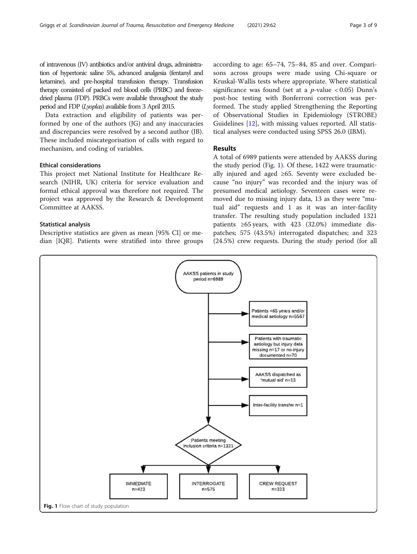of intravenous (IV) antibiotics and/or antiviral drugs, administration of hypertonic saline 5%, advanced analgesia (fentanyl and ketamine), and pre-hospital transfusion therapy. Transfusion therapy consisted of packed red blood cells (PRBC) and freezedried plasma (FDP). PRBCs were available throughout the study period and FDP (Lyoplas) available from 3 April 2015.

Data extraction and eligibility of patients was performed by one of the authors (JG) and any inaccuracies and discrepancies were resolved by a second author (JB). These included miscategorisation of calls with regard to mechanism, and coding of variables.

#### Ethical considerations

This project met National Institute for Healthcare Research (NIHR, UK) criteria for service evaluation and formal ethical approval was therefore not required. The project was approved by the Research & Development Committee at AAKSS.

#### Statistical analysis

Descriptive statistics are given as mean [95% CI] or median [IQR]. Patients were stratified into three groups according to age: 65–74, 75–84, 85 and over. Comparisons across groups were made using Chi-square or Kruskal-Wallis tests where appropriate. Where statistical significance was found (set at a  $p$ -value < 0.05) Dunn's post-hoc testing with Bonferroni correction was performed. The study applied Strengthening the Reporting of Observational Studies in Epidemiology (STROBE) Guidelines [[12\]](#page-7-0), with missing values reported. All statistical analyses were conducted using SPSS 26.0 (IBM).

#### Results

A total of 6989 patients were attended by AAKSS during the study period (Fig. 1). Of these, 1422 were traumatically injured and aged ≥65. Seventy were excluded because "no injury" was recorded and the injury was of presumed medical aetiology. Seventeen cases were removed due to missing injury data, 13 as they were "mutual aid" requests and 1 as it was an inter-facility transfer. The resulting study population included 1321 patients ≥65 years, with 423 (32.0%) immediate dispatches; 575 (43.5%) interrogated dispatches; and 323 (24.5%) crew requests. During the study period (for all

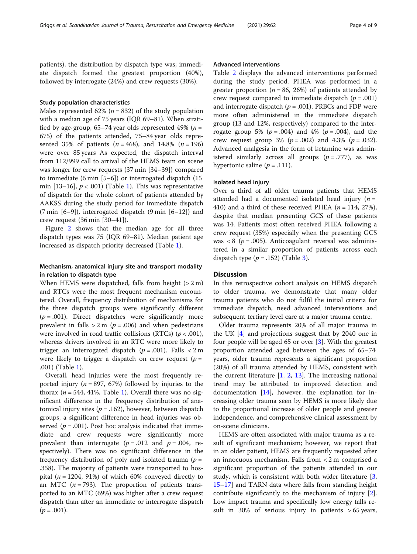patients), the distribution by dispatch type was; immediate dispatch formed the greatest proportion (40%), followed by interrogate (24%) and crew requests (30%).

#### Study population characteristics

Males represented 62% ( $n = 832$ ) of the study population with a median age of 75 years (IQR 69–81). When stratified by age-group, 65–74 year olds represented 49% ( $n =$ 675) of the patients attended, 75–84 year olds represented 35% of patients ( $n = 468$ ), and 14.8% ( $n = 196$ ) were over 85 years As expected, the dispatch interval from 112/999 call to arrival of the HEMS team on scene was longer for crew requests (37 min [34–39]) compared to immediate (6 min [5–6]) or interrogated dispatch (15 min [[1](#page-4-0)3–16],  $p < .001$ ) (Table 1). This was representative of dispatch for the whole cohort of patients attended by AAKSS during the study period for immediate dispatch (7 min [6–9]), interrogated dispatch (9 min [6–12]) and crew request (36 min [30–41]).

Figure [2](#page-5-0) shows that the median age for all three dispatch types was 75 (IQR 69–81). Median patient age increased as dispatch priority decreased (Table [1](#page-4-0)).

#### Mechanism, anatomical injury site and transport modality in relation to dispatch type

When HEMS were dispatched, falls from height  $(2 \text{ m})$ and RTCs were the most frequent mechanism encountered. Overall, frequency distribution of mechanisms for the three dispatch groups were significantly different  $(p = .001)$ . Direct dispatches were significantly more prevalent in falls  $> 2$  m ( $p = .006$ ) and when pedestrians were involved in road traffic collisions (RTCs)  $(p < .001)$ , whereas drivers involved in an RTC were more likely to trigger an interrogated dispatch ( $p = .001$ ). Falls < 2 m were likely to trigger a dispatch on crew request  $(p =$ .001) (Table [1\)](#page-4-0).

Overall, head injuries were the most frequently reported injury ( $n = 897, 67\%$ ) followed by injuries to the thorax ( $n = 544$ , 41%, Table [1\)](#page-4-0). Overall there was no significant difference in the frequency distribution of anatomical injury sites ( $p = .162$ ), however, between dispatch groups, a significant difference in head injuries was observed ( $p = .001$ ). Post hoc analysis indicated that immediate and crew requests were significantly more prevalent than interrogate ( $p = .012$  and  $p = .004$ , respectively). There was no significant difference in the frequency distribution of poly and isolated trauma ( $p =$ .358). The majority of patients were transported to hospital ( $n = 1204$ , 91%) of which 60% conveyed directly to an MTC ( $n = 793$ ). The proportion of patients transported to an MTC (69%) was higher after a crew request dispatch than after an immediate or interrogate dispatch  $(p=.001).$ 

#### Advanced interventions

Table [2](#page-5-0) displays the advanced interventions performed during the study period. PHEA was performed in a greater proportion ( $n = 86$ , 26%) of patients attended by crew request compared to immediate dispatch ( $p = .001$ ) and interrogate dispatch ( $p = .001$ ). PRBCs and FDP were more often administered in the immediate dispatch group (13 and 12%, respectively) compared to the interrogate group 5% ( $p = .004$ ) and 4% ( $p = .004$ ), and the crew request group  $3\%$  ( $p = .002$ ) and  $4.3\%$  ( $p = .032$ ). Advanced analgesia in the form of ketamine was administered similarly across all groups  $(p = .777)$ , as was hypertonic saline  $(p=.111)$ .

#### Isolated head injury

Over a third of all older trauma patients that HEMS attended had a documented isolated head injury  $(n =$ 410) and a third of these received PHEA  $(n = 114, 27\%)$ , despite that median presenting GCS of these patients was 14. Patients most often received PHEA following a crew request (35%) especially when the presenting GCS was  $\langle 8 \rangle$  ( $p = .005$ ). Anticoagulant reversal was administered in a similar proportion of patients across each dispatch type  $(p=.152)$  (Table [3\)](#page-6-0).

#### **Discussion**

In this retrospective cohort analysis on HEMS dispatch to older trauma, we demonstrate that many older trauma patients who do not fulfil the initial criteria for immediate dispatch, need advanced interventions and subsequent tertiary level care at a major trauma centre.

Older trauma represents 20% of all major trauma in the UK [\[4\]](#page-7-0) and projections suggest that by 2040 one in four people will be aged 65 or over [\[3\]](#page-7-0). With the greatest proportion attended aged between the ages of 65–74 years, older trauma represents a significant proportion (20%) of all trauma attended by HEMS, consistent with the current literature  $[1, 2, 13]$  $[1, 2, 13]$  $[1, 2, 13]$  $[1, 2, 13]$  $[1, 2, 13]$  $[1, 2, 13]$  $[1, 2, 13]$ . The increasing national trend may be attributed to improved detection and documentation [\[14](#page-7-0)], however, the explanation for increasing older trauma seen by HEMS is more likely due to the proportional increase of older people and greater independence, and comprehensive clinical assessment by on-scene clinicians.

HEMS are often associated with major trauma as a result of significant mechanism; however, we report that in an older patient, HEMS are frequently requested after an innocuous mechanism. Falls from < 2 m comprised a significant proportion of the patients attended in our study, which is consistent with both wider literature [\[3](#page-7-0), [15](#page-7-0)–[17](#page-7-0)] and TARN data where falls from standing height contribute significantly to the mechanism of injury [\[2](#page-7-0)]. Low impact trauma and specifically low energy falls result in 30% of serious injury in patients > 65 years,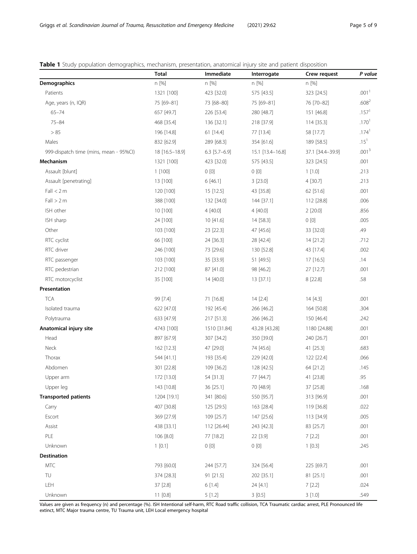|                                        | <b>Total</b>   | Immediate       | Interrogate      | Crew request     | P value           |
|----------------------------------------|----------------|-----------------|------------------|------------------|-------------------|
| Demographics                           | n [%]          | n [%]           | n [%]            | n [%]            |                   |
| Patients                               | 1321 [100]     | 423 [32.0]      | 575 [43.5]       | 323 [24.5]       | .001 <sup>1</sup> |
| Age, years (n, IQR)                    | 75 [69-81]     | 73 [68-80]      | 75 [69-81]       | 76 [70-82]       | .608 <sup>2</sup> |
| $65 - 74$                              | 657 [49.7]     | 226 [53.4]      | 280 [48.7]       | 151 [46.8]       | .157 <sup>1</sup> |
| $75 - 84$                              | 468 [35.4]     | 136 [32.1]      | 218 [37.9]       | 114 [35.3]       | .170 <sup>1</sup> |
| > 85                                   | 196 [14.8]     | 61 [14.4]       | 77 [13.4]        | 58 [17.7]        | .174 <sup>1</sup> |
| Males                                  | 832 [62.9]     | 289 [68.3]      | 354 [61.6]       | 189 [58.5]       | .15 <sup>1</sup>  |
| 999-dispatch time (mins, mean - 95%CI) | 18 [16.5-18.9] | $6.3$ [5.7-6.9] | 15.1 [13.4-16.8] | 37.1 [34.4-39.9] | .001 <sup>3</sup> |
| Mechanism                              | 1321 [100]     | 423 [32.0]      | 575 [43.5]       | 323 [24.5]       | .001              |
| Assault [blunt]                        | 1 [100]        | 0[0]            | 0[0]             | 1[1.0]           | .213              |
| Assault [penetrating]                  | 13 [100]       | 6 [46.1]        | 3 [23.0]         | 4 [30.7]         | .213              |
| Fall < 2 m                             | 120 [100]      | 15 [12.5]       | 43 [35.8]        | 62 [51.6]        | .001              |
| Fall > 2 m                             | 388 [100]      | 132 [34.0]      | 144 [37.1]       | 112 [28.8]       | .006              |
| ISH other                              | 10 [100]       | 4[40.0]         | 4 [40.0]         | 2 [20.0]         | .856              |
| ISH sharp                              | 24 [100]       | 10 [41.6]       | 14 [58.3]        | 0[0]             | .005              |
| Other                                  | 103 [100]      | 23 [22.3]       | 47 [45.6]        | 33 [32.0]        | .49               |
| RTC cyclist                            | 66 [100]       | 24 [36.3]       | 28 [42.4]        | 14 [21.2]        | .712              |
| RTC driver                             | 246 [100]      | 73 [29.6]       | 130 [52.8]       | 43 [17.4]        | .002              |
| RTC passenger                          | 103 [100]      | 35 [33.9]       | 51 [49.5]        | 17 [16.5]        | .14               |
| RTC pedestrian                         | 212 [100]      | 87 [41.0]       | 98 [46.2]        | 27 [12.7]        | .001              |
| RTC motorcyclist                       | 35 [100]       | 14 [40.0]       | 13 [37.1]        | 8 [22.8]         | .58               |
| Presentation                           |                |                 |                  |                  |                   |
| <b>TCA</b>                             | 99 [7.4]       | 71 [16.8]       | 14 [2.4]         | 14 [4.3]         | .001              |
| Isolated trauma                        | 622 [47.0]     | 192 [45.4]      | 266 [46.2]       | 164 [50.8]       | .304              |
| Polytrauma                             | 633 [47.9]     | 217 [51.3]      | 266 [46.2]       | 150 [46.4]       | .242              |
| Anatomical injury site                 | 4743 [100]     | 1510 [31.84]    | 43.28 [43.28]    | 1180 [24.88]     | .001              |
| Head                                   | 897 [67.9]     | 307 [34.2]      | 350 [39.0]       | 240 [26.7]       | .001              |
| Neck                                   | 162 [12.3]     | 47 [29.0]       | 74 [45.6]        | 41 [25.3]        | .683              |
| Thorax                                 | 544 [41.1]     | 193 [35.4]      | 229 [42.0]       | 122 [22.4]       | .066              |
| Abdomen                                | 301 [22.8]     | 109 [36.2]      | 128 [42.5]       | 64 [21.2]        | .145              |
| Upper arm                              | 172 [13.0]     | 54 [31.3]       | 77 [44.7]        | 41 [23.8]        | .95               |
| Upper leg                              | 143 [10.8]     | 36 [25.1]       | 70 [48.9]        | 37 [25.8]        | .168              |
| <b>Transported patients</b>            | 1204 [19.1]    | 341 [80.6]      | 550 [95.7]       | 313 [96.9]       | .001              |
| Carry                                  | 407 [30.8]     | 125 [29.5]      | 163 [28.4]       | 119 [36.8]       | .022              |
| Escort                                 | 369 [27.9]     | 109 [25.7]      | 147 [25.6]       | 113 [34.9]       | .005              |
| Assist                                 | 438 [33.1]     | 112 [26.44]     | 243 [42.3]       | 83 [25.7]        | .001              |
| PLE                                    | 106 [8.0]      | 77 [18.2]       | 22 [3.9]         | 7[2.2]           | .001              |
| Unknown                                | 1[0.1]         | 0[0]            | 0[0]             | 1[0.3]           | .245              |
| <b>Destination</b>                     |                |                 |                  |                  |                   |
| <b>MTC</b>                             | 793 [60.0]     | 244 [57.7]      | 324 [56.4]       | 225 [69.7]       | .001              |
| TU                                     | 374 [28.3]     | 91 [21.5]       | 202 [35.1]       | 81 [25.1]        | .001              |
| LEH                                    | 37 [2.8]       | 6 [1.4]         | 24 [4.1]         | 7[2.2]           | .024              |
| Unknown                                | 11 [0.8]       | 5[1.2]          | 3[0.5]           | 3[1.0]           | .549              |

#### <span id="page-4-0"></span>Table 1 Study population demographics, mechanism, presentation, anatomical injury site and patient disposition

Values are given as frequency (n) and percentage (%). ISH Intentional self-harm, RTC Road traffic collision, TCA Traumatic cardiac arrest, PLE Pronounced life extinct, MTC Major trauma centre, TU Trauma unit, LEH Local emergency hospital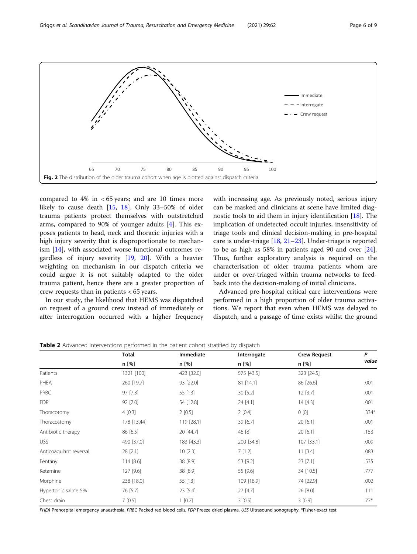<span id="page-5-0"></span>

compared to  $4\%$  in  $\lt 65$  years; and are 10 times more likely to cause death [[15](#page-7-0), [18\]](#page-7-0). Only 33–50% of older trauma patients protect themselves with outstretched arms, compared to 90% of younger adults [\[4](#page-7-0)]. This exposes patients to head, neck and thoracic injuries with a high injury severity that is disproportionate to mechanism [\[14\]](#page-7-0), with associated worse functional outcomes regardless of injury severity [[19,](#page-7-0) [20](#page-7-0)]. With a heavier weighting on mechanism in our dispatch criteria we could argue it is not suitably adapted to the older trauma patient, hence there are a greater proportion of crew requests than in patients < 65 years.

In our study, the likelihood that HEMS was dispatched on request of a ground crew instead of immediately or after interrogation occurred with a higher frequency with increasing age. As previously noted, serious injury can be masked and clinicians at scene have limited diagnostic tools to aid them in injury identification [\[18\]](#page-7-0). The implication of undetected occult injuries, insensitivity of triage tools and clinical decision-making in pre-hospital care is under-triage  $[18, 21-23]$  $[18, 21-23]$  $[18, 21-23]$  $[18, 21-23]$  $[18, 21-23]$ . Under-triage is reported to be as high as 58% in patients aged 90 and over [\[24](#page-7-0)]. Thus, further exploratory analysis is required on the characterisation of older trauma patients whom are under or over-triaged within trauma networks to feedback into the decision-making of initial clinicians.

Advanced pre-hospital critical care interventions were performed in a high proportion of older trauma activations. We report that even when HEMS was delayed to dispatch, and a passage of time exists whilst the ground

|                        | <b>Total</b><br>n [%] | Immediate  | Interrogate | <b>Crew Request</b><br>n [%] | P<br>value |
|------------------------|-----------------------|------------|-------------|------------------------------|------------|
|                        |                       | n [%]      | n [%]       |                              |            |
| Patients               | 1321 [100]            | 423 [32.0] | 575 [43.5]  | 323 [24.5]                   |            |
| PHEA                   | 260 [19.7]            | 93 [22.0]  | 81 [14.1]   | 86 [26.6]                    | .001       |
| PRBC                   | 97 [7.3]              | 55 [13]    | 30 [5.2]    | 12 [3.7]                     | .001       |
| <b>FDP</b>             | 92 [7.0]              | 54 [12.8]  | 24 [4.1]    | 14[4.3]                      | .001       |
| Thoracotomy            | 4[0.3]                | 2[0.5]     | 2[0.4]      | 0[0]                         | $.334*$    |
| Thoracostomy           | 178 [13.44]           | 119 [28.1] | 39 [6.7]    | 20[6.1]                      | .001       |
| Antibiotic therapy     | 86 [6.5]              | 20 [44.7]  | 46 [8]      | 20 [6.1]                     | .153       |
| <b>USS</b>             | 490 [37.0]            | 183 [43.3] | 200 [34.8]  | 107 [33.1]                   | .009       |
| Anticoagulant reversal | 28 [2.1]              | 10[2.3]    | 7[1.2]      | 11 [3.4]                     | .083       |
| Fentanyl               | 114 [8.6]             | 38 [8.9]   | 53 [9.2]    | 23 [7.1]                     | .535       |
| Ketamine               | 127 [9.6]             | 38 [8.9]   | 55 [9.6]    | 34 [10.5]                    | .777       |
| Morphine               | 238 [18.0]            | 55 [13]    | 109 [18.9]  | 74 [22.9]                    | .002       |
| Hypertonic saline 5%   | 76 [5.7]              | 23 [5.4]   | 27 [4.7]    | 26 [8.0]                     | .111       |
| Chest drain            | 7[0.5]                | 1 [0.2]    | 3[0.5]      | 3[0.9]                       | $.77*$     |

**Table 2** Advanced interventions performed in the patient cohort stratified by dispatch

PHEA Prehospital emergency anaesthesia, PRBC Packed red blood cells, FDP Freeze dried plasma, USS Ultrasound sonography. \*Fisher-exact test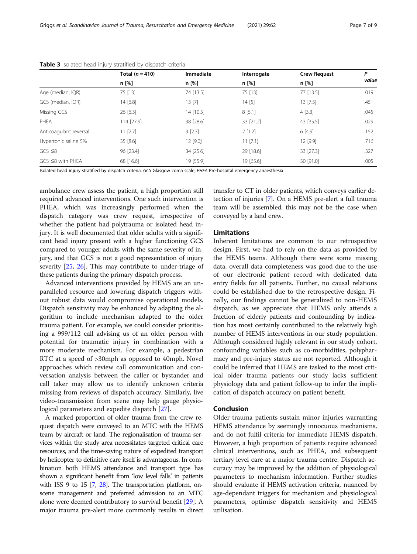|                        | Total $(n = 410)$ | Immediate | Interrogate | <b>Crew Request</b><br>n [%] | P<br>value |
|------------------------|-------------------|-----------|-------------|------------------------------|------------|
|                        | n [%]             | n [%]     | n [%]       |                              |            |
| Age (median, IQR)      | 75 [13]           | 74 [13.5] | 75 [13]     | 77 [13.5]                    | .019       |
| GCS (median, IQR)      | 14 [6.8]          | 13 [7]    | 14[5]       | 13 [7.5]                     | .45        |
| Missing GCS            | 26 [6.3]          | 14 [10.5] | 8[5.1]      | 4[3.3]                       | .045       |
| PHEA                   | 114 [27.9]        | 38 [28.6] | 33 [21.2]   | 43 [35.5]                    | .029       |
| Anticoagulant reversal | 11 [2.7]          | 3[2.3]    | 2[1.2]      | 6 [4.9]                      | .152       |
| Hypertonic saline 5%   | 35 [8.6]          | 12 [9.0]  | 11 [7.1]    | 12 [9.9]                     | .716       |
| $GCS \leq 8$           | 96 [23.4]         | 34 [25.6] | 29 [18.6]   | 33 [27.3]                    | .327       |
| $GCS \leq 8$ with PHEA | 68 [16.6]         | 19 [55.9] | 19 [65.6]   | 30 [91.0]                    | .005       |

<span id="page-6-0"></span>

|  |  |  | Table 3 Isolated head injury stratified by dispatch criteria |
|--|--|--|--------------------------------------------------------------|
|--|--|--|--------------------------------------------------------------|

Isolated head injury stratified by dispatch criteria. GCS Glasgow coma scale, PHEA Pre-hospital emergency anaesthesia

ambulance crew assess the patient, a high proportion still required advanced interventions. One such intervention is PHEA, which was increasingly performed when the dispatch category was crew request, irrespective of whether the patient had polytrauma or isolated head injury. It is well documented that older adults with a significant head injury present with a higher functioning GCS compared to younger adults with the same severity of injury, and that GCS is not a good representation of injury severity [\[25,](#page-8-0) [26](#page-8-0)]. This may contribute to under-triage of these patients during the primary dispatch process.

Advanced interventions provided by HEMS are an unparalleled resource and lowering dispatch triggers without robust data would compromise operational models. Dispatch sensitivity may be enhanced by adapting the algorithm to include mechanism adapted to the older trauma patient. For example, we could consider prioritising a 999/112 call advising us of an older person with potential for traumatic injury in combination with a more moderate mechanism. For example, a pedestrian RTC at a speed of >30mph as opposed to 40mph. Novel approaches which review call communication and conversation analysis between the caller or bystander and call taker may allow us to identify unknown criteria missing from reviews of dispatch accuracy. Similarly, live video-transmission from scene may help gauge physiological parameters and expedite dispatch [\[27](#page-8-0)].

A marked proportion of older trauma from the crew request dispatch were conveyed to an MTC with the HEMS team by aircraft or land. The regionalisation of trauma services within the study area necessitates targeted critical care resources, and the time-saving nature of expedited transport by helicopter to definitive care itself is advantageous. In combination both HEMS attendance and transport type has shown a significant benefit from 'low level falls' in patients with ISS 9 to 15 [\[7,](#page-7-0) [28](#page-8-0)]. The transportation platform, onscene management and preferred admission to an MTC alone were deemed contributory to survival benefit [[29](#page-8-0)]. A major trauma pre-alert more commonly results in direct transfer to CT in older patients, which conveys earlier detection of injuries [\[7\]](#page-7-0). On a HEMS pre-alert a full trauma team will be assembled, this may not be the case when conveyed by a land crew.

#### Limitations

Inherent limitations are common to our retrospective design. First, we had to rely on the data as provided by the HEMS teams. Although there were some missing data, overall data completeness was good due to the use of our electronic patient record with dedicated data entry fields for all patients. Further, no causal relations could be established due to the retrospective design. Finally, our findings cannot be generalized to non-HEMS dispatch, as we appreciate that HEMS only attends a fraction of elderly patients and confounding by indication has most certainly contributed to the relatively high number of HEMS interventions in our study population. Although considered highly relevant in our study cohort, confounding variables such as co-morbidities, polypharmacy and pre-injury status are not reported. Although it could be inferred that HEMS are tasked to the most critical older trauma patients our study lacks sufficient physiology data and patient follow-up to infer the implication of dispatch accuracy on patient benefit.

#### Conclusion

Older trauma patients sustain minor injuries warranting HEMS attendance by seemingly innocuous mechanisms, and do not fulfil criteria for immediate HEMS dispatch. However, a high proportion of patients require advanced clinical interventions, such as PHEA, and subsequent tertiary level care at a major trauma centre. Dispatch accuracy may be improved by the addition of physiological parameters to mechanism information. Further studies should evaluate if HEMS activation criteria, nuanced by age-dependant triggers for mechanism and physiological parameters, optimise dispatch sensitivity and HEMS utilisation.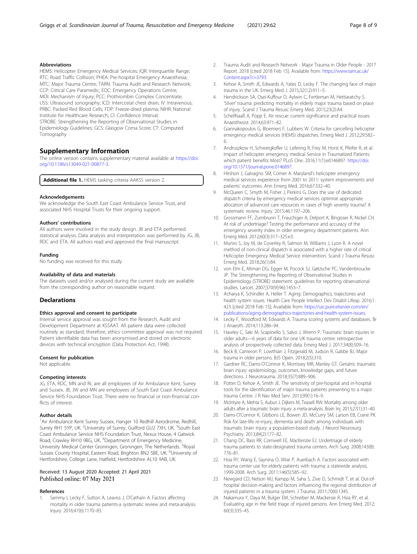#### <span id="page-7-0"></span>Abbreviations

HEMS: Helicopter Emergency Medical Services; IQR: Interquartile Range; RTC: Road Traffic Collision; PHEA: Pre-hospital Emergency Anaesthesia; MTC: Major Trauma Centre; TARN: Trauma Audit and Research Network; CCP: Critical Care Paramedic; EOC: Emergency Operations Centre; MOI: Mechanism of Injury; PCC: Prothrombin Complex Concentrate; USS: Ultrasound sonography; ICD: Intercostal chest drain; IV: Intravenous; PRBC: Packed Red Blood Cells; FDP: Freeze-dried plasma; NIHR: National Institute for Healthcare Research; CI: Confidence Interval; STROBE: Strengthening the Reporting of Observational Studies in Epidemiology Guidelines; GCS: Glasgow Coma Score; CT: Computed Tomography

#### Supplementary Information

The online version contains supplementary material available at [https://doi.](https://doi.org/10.1186/s13049-021-00877-3) [org/10.1186/s13049-021-00877-3.](https://doi.org/10.1186/s13049-021-00877-3)

Additional file 1. HEMS tasking criteria AAKSS version 2.

#### Acknowledgements

We acknowledge the South East Coast Ambulance Service Trust, and associated NHS Hospital Trusts for their ongoing support.

#### Authors' contributions

All authors were involved in the study design. JB and ETA performed statistical analysis. Data analysis and interpretation was performed by JG, JB, RDC and ETA. All authors read and approved the final manuscript.

#### Funding

No funding was received for this study.

#### Availability of data and materials

The datasets used and/or analysed during the current study are available from the corresponding author on reasonable request.

#### Declarations

#### Ethics approval and consent to participate

Internal service approval was sought from the Research, Audit and Development Department at KSSAAT. All patient data were collected routinely as standard; therefore, ethics committee approval was not required. Patient identifiable data has been anonymised and stored on electronic devices with technical encryption (Data Protection Act, 1998).

#### Consent for publication

Not applicable.

#### Competing interests

JG, ETA, RDC, MN and RL are all employees of Air Ambulance Kent, Surrey and Sussex. JB, JW and MN are employees of South East Coast Ambulance Service NHS Foundation Trust. There were no financial or non-financial conflicts of interest.

#### Author details

<sup>1</sup> Air Ambulance Kent Surrey Sussex, Hanger 10 Redhill Aerodrome, Redhill, Surrey RH1 5YP, UK. <sup>2</sup>University of Surrey, Guilford GU2 7XH, UK. <sup>3</sup>South East Coast Ambulance Service NHS Foundation Trust, Nexus House, 4 Gatwick Road, Crawley RH10 9BG, UK. <sup>4</sup>Department of Emergency Medicine, University Medical Center Groningen, Groningen, The Netherlands. <sup>5</sup>Royal Sussex County Hospital, Eastern Road, Brighton BN2 5BE, UK. <sup>6</sup>University of Hertfordshire, College Lane, Hatfield, Hertfordshire AL10 9AB, UK.

#### Received: 13 August 2020 Accepted: 21 April 2021 Published online: 07 May 2021

#### References

Sammy I, Lecky F, Sutton A, Leaviss J, O'Cathain A. Factors affecting mortality in older trauma patients-a systematic review and meta-analysis. Injury. 2016;47(6):1170–83.

- 2. Trauma Audit and Research Network Major Trauma in Older People 2017 Report. 2018 [cited 2018 Feb 15]. Available from: [https://www.tarn.ac.uk/](https://www.tarn.ac.uk/Content.aspx?c=3793) [Content.aspx?c=3793](https://www.tarn.ac.uk/Content.aspx?c=3793).
- 3. Kehoe A, Smith JE, Edwards A, Yates D, Lecky F. The changing face of major trauma in the UK. Emerg Med J. 2015;32(12):911–5.
- 4. Hendrickson SA, Osei-Kuffour D, Aylwin C, Fertleman M, Hettiaratchy S. 'Silver' trauma: predicting mortality in elderly major trauma based on place of injury. Scand J Trauma Resusc Emerg Med. 2015;23(2):A4.
- 5. Schellhaaß A, Popp E. Air rescue: current significance and practical issues. Anaesthesist. 2014;63:971–82.
- 6. Giannakopoulos G, Bloemers F, Lubbers W. Criteria for cancelling helicopter emergency medical services (HEMS) dispatches. Emerg Med J. 2012;29:582– 6.
- 7. Andruszkow H, Schweigkofler U, Lefering R, Frey M, Horst K, Pfeifer R, et al. Impact of helicopter emergency medical Service in Traumatized Patients: which patient benefits Most? PLoS One. 2016;11(1):e0146897. [https://doi.](https://doi.org/10.1371/journal.pone.0146897) [org/10.1371/journal.pone.0146897.](https://doi.org/10.1371/journal.pone.0146897)
- 8. Hirshon J, Galvagno SM, Comer A, Maryland's helicopter emergency medical services experience from 2001 to 2011: system improvements and patients' outcomes. Ann Emerg Med. 2016;67:332–40.
- 9. McQueen C, Smyth M, Fisher J, Perkins G. Does the use of dedicated dispatch criteria by emergency medical services optimise appropriate allocation of advanced care resources in cases of high severity trauma? A systematic review. Injury. 2015;46:1197–206.
- 10. Grossmann FF, Zumbrunn T, Frauchiger A, Delport K, Bingisser R, Nickel CH. At risk of undertriage? Testing the performance and accuracy of the emergency severity index in older emergency department patients. Ann Emerg Med. 2012;60(3):317–325.e3.
- 11. Munro S, Joy M, de Coverley R, Salmon M, Williams J, Lyon R. A novel method of non-clinical dispatch is associated with a higher rate of critical Helicopter Emergency Medical Service intervention. Scand J Trauma Resusc Emerg Med. 2018;26(1):84.
- 12. von Elm E, Altman DG, Egger M, Pocock SJ, Gøtzsche PC, Vandenbroucke JP. The Strengthening the Reporting of Observational Studies in Epidemiology (STROBE) statement: guidelines for reporting observational studies. Lancet. 2007;370(9596):1453–7.
- 13. Acharya K, Schindler A, Heller T. Aging: Demographics, trajectories and health system issues. Health Care People Intellect Dev Disabil Lifesp. 2016;1: 423 [cited 2018 Feb 15]; Available from: [https://uic.pure.elsevier.com/en/](https://uic.pure.elsevier.com/en/publications/aging-demographics-trajectories-and-health-system-issues) [publications/aging-demographics-trajectories-and-health-system-issues.](https://uic.pure.elsevier.com/en/publications/aging-demographics-trajectories-and-health-system-issues)
- 14. Lecky F, Woodford M, Edwards A. Trauma scoring systems and databases. Br J Anaesth. 2014;113:286–94.
- 15. Hawley C, Sakr M, Scapinello S, Salvo J, Wrenn P. Traumatic brain injuries in older adults—6 years of data for one UK trauma centre: retrospective analysis of prospectively collected data. Emerg Med J. 2017;34(8):509–16.
- 16. Beck B, Cameron P, Lowthian J, Fitzgerald M, Judson R, Gabbe BJ. Major trauma in older persons. BJS Open. 2018;2(5):310.
- 17. Gardner RC, Dams-O'Connor K, Morrissey MR, Manley GT. Geriatric traumatic brain injury: epidemiology, outcomes, knowledge gaps, and future directions. J Neurotrauma. 2018;35(7):889–906.
- 18. Potter D, Kehoe A, Smith JE. The sensitivity of pre-hospital and in-hospital tools for the identification of major trauma patients presenting to a major trauma Centre. J R Nav Med Serv. 2013;99(1):16–9.
- 19. McIntyre A, Mehta S, Aubut J, Dijkers M, Teasell RW. Mortality among older adults after a traumatic brain injury: a meta-analysis. Brain Inj. 2013;27(1):31–40.
- 20. Dams-O'Connor K, Gibbons LE, Bowen JD, McCurry SM, Larson EB, Crane PK. Risk for late-life re-injury, dementia and death among individuals with traumatic brain injury: a population-based study. J Neurol Neurosurg Psychiatry. 2013;84(2):177–82.
- 21. Chang DC, Bass RR, Cornwell EE, MacKenzie EJ. Undertriage of elderly trauma patients to state-designated trauma centers. Arch Surg. 2008;143(8): 776–81.
- 22. Hsia RY, Wang E, Saynina O, Wise P, Auerbach A. Factors associated with trauma center use for elderly patients with trauma: a statewide analysis, 1999-2008. Arch Surg. 2011;146(5):585–92.
- 23. Newgard CD, Nelson MJ, Kampp M, Saha S, Zive D, Schmidt T, et al. Out-ofhospital decision-making and factors influencing the regional distribution of injured patients in a trauma system. J Trauma. 2011;70(6):1345.
- 24. Nakamura Y, Daya M, Bulger EM, Schreiber M, Mackersie R, Hsia RY, et al. Evaluating age in the field triage of injured persons. Ann Emerg Med. 2012; 60(3):335–45.